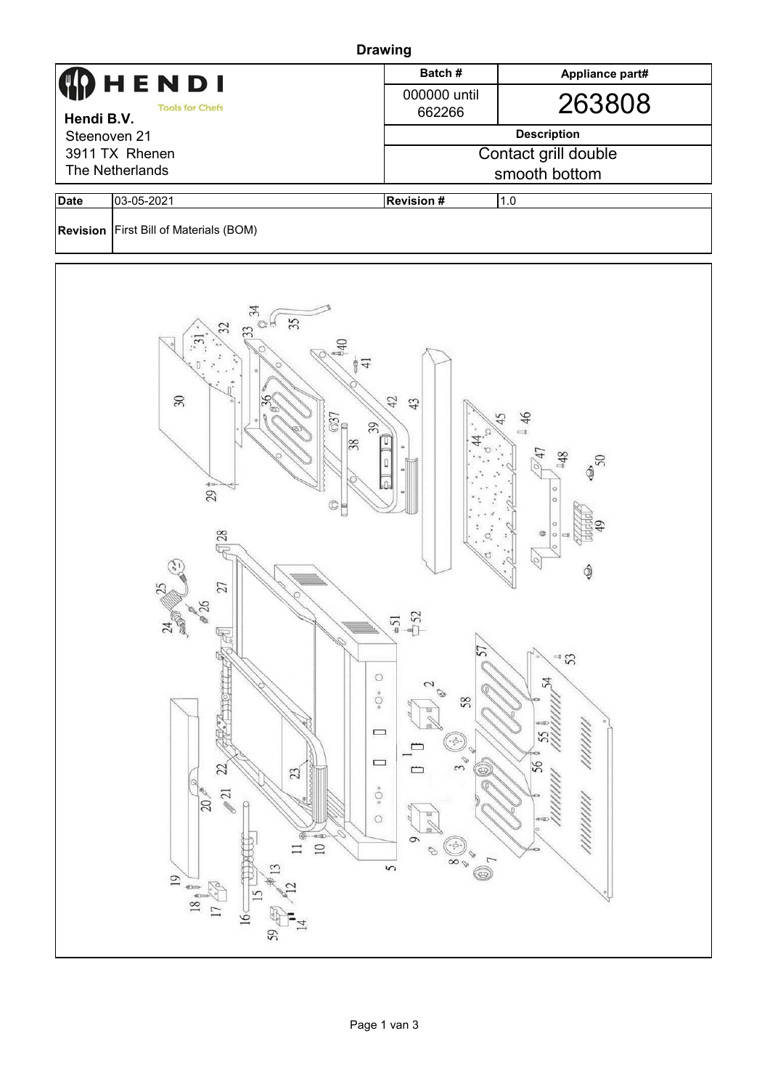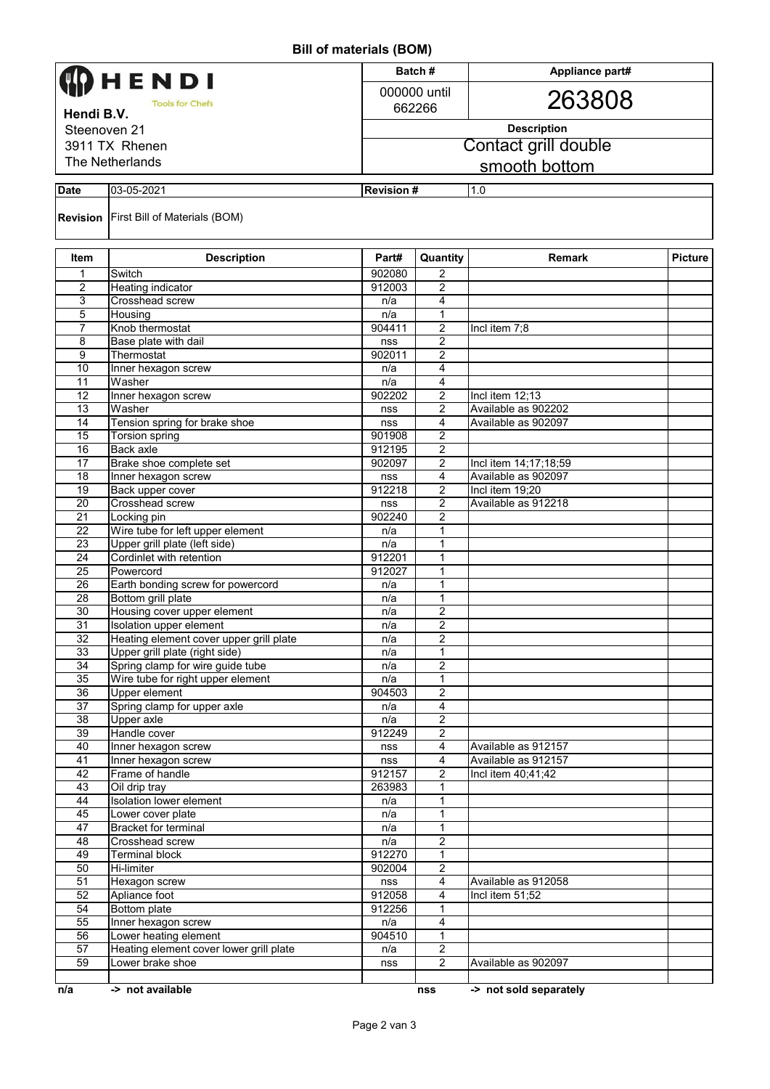## **Bill of materials (BOM)**

|                                      | HENDI                                                              |                  | Batch#                           | Appliance part#                        |                |  |
|--------------------------------------|--------------------------------------------------------------------|------------------|----------------------------------|----------------------------------------|----------------|--|
|                                      |                                                                    |                  | 000000 until                     |                                        |                |  |
| <b>Tools for Chefs</b><br>Hendi B.V. |                                                                    |                  | 662266                           | 263808                                 |                |  |
| Steenoven 21                         |                                                                    |                  | <b>Description</b>               |                                        |                |  |
| 3911 TX Rhenen                       |                                                                    |                  | Contact grill double             |                                        |                |  |
| The Netherlands                      |                                                                    |                  |                                  |                                        |                |  |
|                                      |                                                                    |                  |                                  | smooth bottom                          |                |  |
| <b>Date</b>                          | 03-05-2021                                                         | <b>Revision#</b> |                                  | 1.0                                    |                |  |
|                                      | <b>Revision</b> First Bill of Materials (BOM)                      |                  |                                  |                                        |                |  |
| Item                                 | <b>Description</b>                                                 | Part#            | Quantity                         | <b>Remark</b>                          | <b>Picture</b> |  |
| 1                                    | Switch                                                             | 902080           | 2                                |                                        |                |  |
| 2                                    | <b>Heating indicator</b>                                           | 912003           | 2                                |                                        |                |  |
| 3                                    | Crosshead screw                                                    | n/a              | 4                                |                                        |                |  |
| 5                                    | Housing                                                            | n/a              | 1                                |                                        |                |  |
| $\overline{7}$                       | Knob thermostat                                                    | 904411           | 2                                | Incl item 7;8                          |                |  |
| 8<br>9                               | Base plate with dail<br>Thermostat                                 | nss<br>902011    | 2<br>2                           |                                        |                |  |
| 10                                   | Inner hexagon screw                                                | n/a              | 4                                |                                        |                |  |
| 11                                   | Washer                                                             | n/a              | 4                                |                                        |                |  |
| 12                                   | Inner hexagon screw                                                | 902202           | $\overline{2}$                   | Incl item 12;13                        |                |  |
| 13                                   | Washer                                                             | nss              | $\overline{2}$                   | Available as 902202                    |                |  |
| 14                                   | Tension spring for brake shoe                                      | nss              | 4                                | Available as 902097                    |                |  |
| 15                                   | <b>Torsion spring</b>                                              | 901908           | $\overline{2}$                   |                                        |                |  |
| 16                                   | <b>Back axle</b>                                                   | 912195           | 2                                |                                        |                |  |
| 17                                   | Brake shoe complete set                                            | 902097           | $\overline{2}$                   | Incl item 14;17;18;59                  |                |  |
| 18                                   | Inner hexagon screw                                                | nss              | 4                                | Available as 902097                    |                |  |
| 19<br>20                             | Back upper cover<br>Crosshead screw                                | 912218           | 2<br>2                           | Incl item 19;20<br>Available as 912218 |                |  |
| $\overline{21}$                      | Locking pin                                                        | nss<br>902240    | $\overline{2}$                   |                                        |                |  |
| $\overline{22}$                      | Wire tube for left upper element                                   | n/a              | 1                                |                                        |                |  |
| $\overline{23}$                      | Upper grill plate (left side)                                      | n/a              | 1                                |                                        |                |  |
| $\overline{24}$                      | Cordinlet with retention                                           | 912201           | 1                                |                                        |                |  |
| 25                                   | Powercord                                                          | 912027           | $\mathbf{1}$                     |                                        |                |  |
| 26                                   | Earth bonding screw for powercord                                  | n/a              | $\mathbf{1}$                     |                                        |                |  |
| 28                                   | Bottom grill plate                                                 | n/a              | 1                                |                                        |                |  |
| 30                                   | Housing cover upper element                                        | n/a              | $\overline{2}$                   |                                        |                |  |
| $\overline{31}$                      | Isolation upper element<br>Heating element cover upper grill plate | n/a              | $\overline{2}$<br>$\overline{2}$ |                                        |                |  |
| 32<br>33                             | Upper grill plate (right side)                                     | n/a<br>n/a       | $\mathbf{1}$                     |                                        |                |  |
| 34                                   | Spring clamp for wire guide tube                                   | n/a              | $\overline{2}$                   |                                        |                |  |
| 35                                   | Wire tube for right upper element                                  | n/a              | $\mathbf{1}$                     |                                        |                |  |
| 36                                   | <b>Upper element</b>                                               | 904503           | $\overline{2}$                   |                                        |                |  |
| $\overline{37}$                      | Spring clamp for upper axle                                        | n/a              | 4                                |                                        |                |  |
| 38                                   | <b>Upper axle</b>                                                  | n/a              | $\overline{2}$                   |                                        |                |  |
| 39                                   | Handle cover                                                       | 912249           | $\overline{2}$                   |                                        |                |  |
| 40                                   | Inner hexagon screw                                                | nss              | $\overline{4}$                   | Available as 912157                    |                |  |
| 41                                   | Inner hexagon screw                                                | nss              | $\overline{4}$                   | Available as 912157                    |                |  |
| 42                                   | Frame of handle                                                    | 912157           | $\overline{2}$                   | Incl item 40;41;42                     |                |  |
| 43<br>44                             | Oil drip tray<br><b>Isolation lower element</b>                    | 263983<br>n/a    | $\mathbf{1}$<br>1                |                                        |                |  |
| 45                                   | Lower cover plate                                                  | n/a              | 1                                |                                        |                |  |
| 47                                   | Bracket for terminal                                               | n/a              | 1                                |                                        |                |  |
| 48                                   | Crosshead screw                                                    | n/a              | $\overline{2}$                   |                                        |                |  |
| 49                                   | <b>Terminal block</b>                                              | 912270           | 1                                |                                        |                |  |
| 50                                   | <b>Hi-limiter</b>                                                  | 902004           | 2                                |                                        |                |  |
| 51                                   | Hexagon screw                                                      | nss              | 4                                | Available as 912058                    |                |  |
| 52                                   | Apliance foot                                                      | 912058           | $\overline{4}$                   | Incl item 51;52                        |                |  |
| 54                                   | Bottom plate                                                       | 912256           | $\mathbf{1}$                     |                                        |                |  |
| 55                                   | Inner hexagon screw                                                | n/a              | 4                                |                                        |                |  |
| 56                                   | Lower heating element                                              | 904510           | 1                                |                                        |                |  |
| 57<br>59                             | Heating element cover lower grill plate                            | n/a              | $\overline{2}$<br>$\overline{2}$ |                                        |                |  |
|                                      | Lower brake shoe                                                   | nss              |                                  | Available as 902097                    |                |  |
| n/a                                  | -> not available                                                   |                  | nss                              | -> not sold separately                 |                |  |